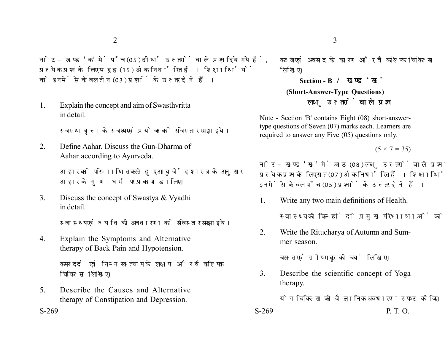नोट- खण्ड 'क' में पाँच (05) दीर्घ उत्तरों वाले प्रश्न दिये गये हैं. प्रत्येक प्रश्न के लिए पन्द्रह (15) अंक निर्धारित हैं। शिक्षार्थियों को इनमें से केवल तीन (03) प्रश्नों के उत्तर देने हैं।

1. Explain the concept and aim of Swasthvritta in detail.

स्वस्थवत्त के स्वरूप एवं प्रयोजन को सविस्तार समझाइये।

2. Define Aahar. Discuss the Gun-Dharma of Aahar according to Ayurveda.

> आहार को परिभाषित करते हुए आयुर्वेद शास्त्र के अनुसार आहार के गण-धर्म पर प्रकाश डालिए।

3. Discuss the concept of Swastya & Vyadhi in detail.

स्वास्थ्य एवं व्याधि की अवधारणा को सविस्तार समझाइये।

4. Explain the Symptoms and Alternative therapy of Back Pain and Hypotension.

> कमर दर्द एवं निम्न रक्तचाप के लक्षण और वैकल्पिक चिकित्सा लिखिए।

5. Describe the Causes and Alternative therapy of Constipation and Depression.

कब्ज एवं अवसाद के कारण और वैकल्पिक चिकित्सा लिखिए।

**Section - B (Short-Answer-Type Questions)** लघ उत्तरों वाले प्रश्न

Note - Section 'B' contains Eight (08) short-answertype questions of Seven (07) marks each. Learners are required to answer any Five (05) questions only.

 $(5 \times 7 = 35)$ 

नोट- खण्ड 'ख' में आठ (08) लघु उत्तरों वाले प्रश्न दिये गये हैं, प्रत्येक प्रश्न के लिए सात (07) अंक निर्धारित हैं। शिक्षार्थियों को इनमें से केवल पाँच (05) प्रश्नों के उत्तर देने हैं।

- 1. Write any two main definitions of Health. स्वास्थ्य की किन्हीं दो प्रमख परिभाषाओं को लिखिए।
- 2. Write the Ritucharya of Autumn and Summer season.

बसन्त एवं ग्रीष्म ऋतु की चर्या लिखिए।

3. Describe the scientific concept of Yoga therapy.

योग चिकित्सा की वैज्ञानिक अवधारणा स्पष्ट कोजिए।

 $S-269$  P. T. O.